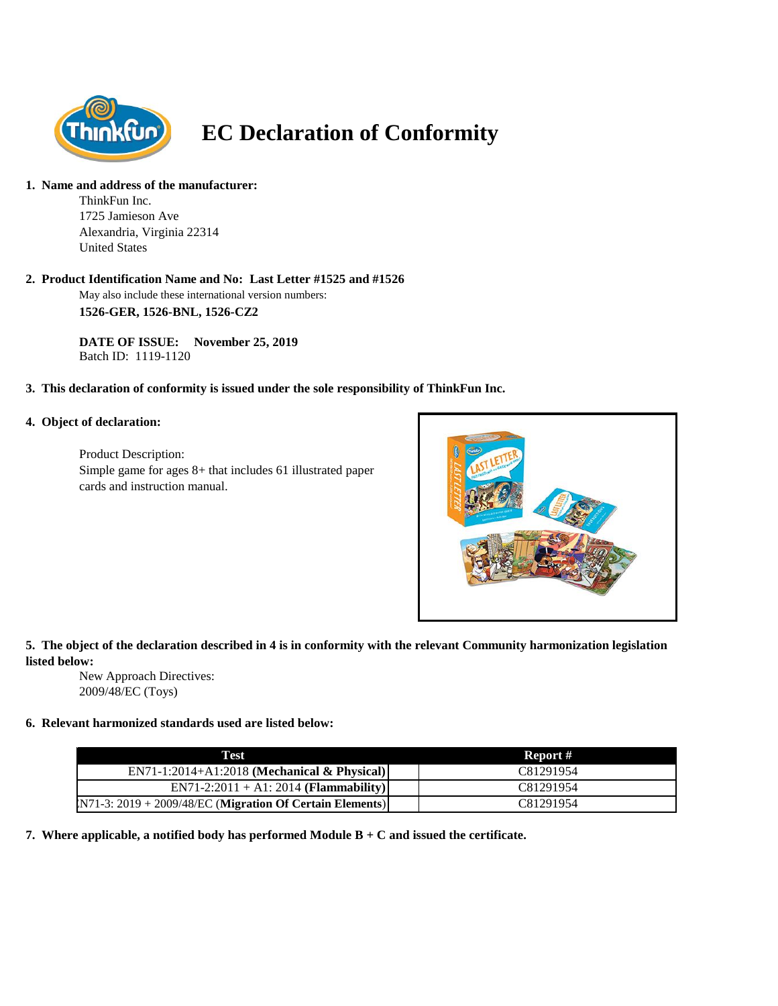

# **EC Declaration of Conformity**

#### **1. Name and address of the manufacturer:**

ThinkFun Inc. 1725 Jamieson Ave Alexandria, Virginia 22314 United States

## **2. Product Identification Name and No: Last Letter #1525 and #1526**

May also include these international version numbers: **1526-GER, 1526-BNL, 1526-CZ2**

**DATE OF ISSUE: November 25, 2019** Batch ID: 1119-1120

## **3. This declaration of conformity is issued under the sole responsibility of ThinkFun Inc.**

## **4. Object of declaration:**

Product Description: Simple game for ages 8+ that includes 61 illustrated paper cards and instruction manual.



## **5. The object of the declaration described in 4 is in conformity with the relevant Community harmonization legislation listed below:**

New Approach Directives: 2009/48/EC (Toys)

## **6. Relevant harmonized standards used are listed below:**

| Test                                                       | Report #  |
|------------------------------------------------------------|-----------|
| $EN71-1:2014+A1:2018$ (Mechanical & Physical)              | C81291954 |
| $EN71-2:2011 + A1:2014 (Flammablity)$                      | C81291954 |
| $N71-3: 2019 + 2009/48/EC$ (Migration Of Certain Elements) | C81291954 |

**7. Where applicable, a notified body has performed Module B + C and issued the certificate.**